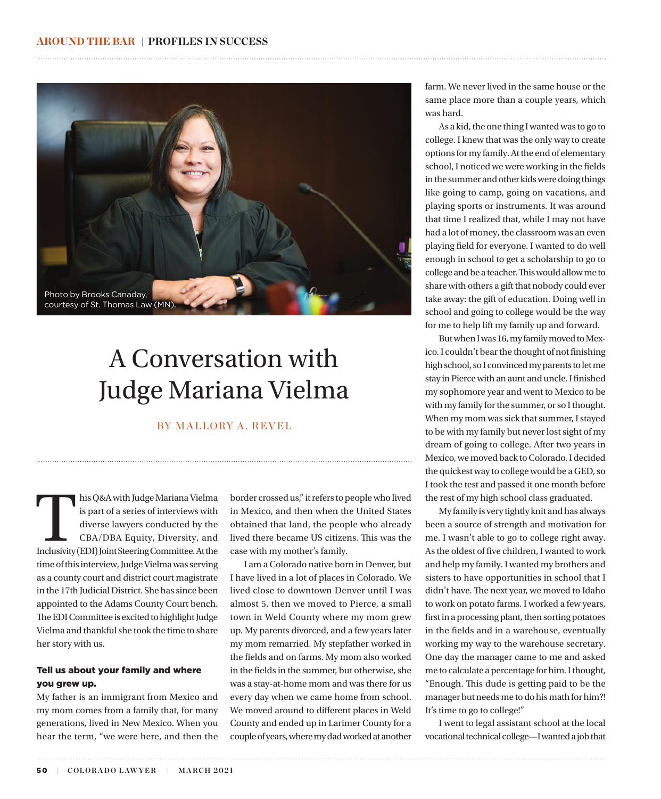

# A Conversation with Judge Mariana Vielma

# BY MALLORY A. REVEL

his Q&A with Judge Mariana Vielma<br>
is part of a series of interviews with<br>
diverse lawyers conducted by the<br>
CBA/DBA Equity, Diversity, and<br>
Inclusivity (EDI) Joint Steering Committee. At the is part of a series of interviews with diverse lawyers conducted by the CBA/DBA Equity, Diversity, and time of this interview, Judge Vielma was serving as a county court and district court magistrate in the 17th Judicial District. She has since been appointed to the Adams County Court bench. The EDI Committee is excited to highlight Judge Vielma and thankful she took the time to share her story with us.

## Tell us about your family and where you grew up.

My father is an immigrant from Mexico and my mom comes from a family that, for many generations, lived in New Mexico. When you hear the term, "we were here, and then the

border crossed us," it refers to people who lived in Mexico, and then when the United States obtained that land, the people who already lived there became US citizens. This was the case with my mother's family.

I am a Colorado native born in Denver, but I have lived in a lot of places in Colorado. We lived close to downtown Denver until I was almost 5, then we moved to Pierce, a small town in Weld County where my mom grew up. My parents divorced, and a few years later my mom remarried. My stepfather worked in the fields and on farms. My mom also worked in the fields in the summer, but otherwise, she was a stay-at-home mom and was there for us every day when we came home from school. We moved around to different places in Weld County and ended up in Larimer County for a couple of years, where my dad worked at another farm. We never lived in the same house or the same place more than a couple years, which was hard.

As a kid, the one thing I wanted was to go to college. I knew that was the only way to create options for my family. At the end of elementary school, I noticed we were working in the fields in the summer and other kids were doing things like going to camp, going on vacations, and playing sports or instruments. It was around that time I realized that, while I may not have had a lot of money, the classroom was an even playing field for everyone. I wanted to do well enough in school to get a scholarship to go to college and be a teacher. This would allow me to share with others a gift that nobody could ever take away: the gift of education. Doing well in school and going to college would be the way for me to help lift my family up and forward.

But when I was 16, my family moved to Mexico. I couldn't bear the thought of not finishing high school, so I convinced my parents to let me stay in Pierce with an aunt and uncle. I finished my sophomore year and went to Mexico to be with my family for the summer, or so I thought. When my mom was sick that summer, I stayed to be with my family but never lost sight of my dream of going to college. After two years in Mexico, we moved back to Colorado. I decided the quickest way to college would be a GED, so I took the test and passed it one month before the rest of my high school class graduated.

My family is very tightly knit and has always been a source of strength and motivation for me. I wasn't able to go to college right away. As the oldest of five children, I wanted to work and help my family. I wanted my brothers and sisters to have opportunities in school that I didn't have. The next year, we moved to Idaho to work on potato farms. I worked a few years, first in a processing plant, then sorting potatoes in the fields and in a warehouse, eventually working my way to the warehouse secretary. One day the manager came to me and asked me to calculate a percentage for him. I thought, "Enough. This dude is getting paid to be the manager but needs me to do his math for him?! It's time to go to college!"

I went to legal assistant school at the local vocational technical college—I wanted a job that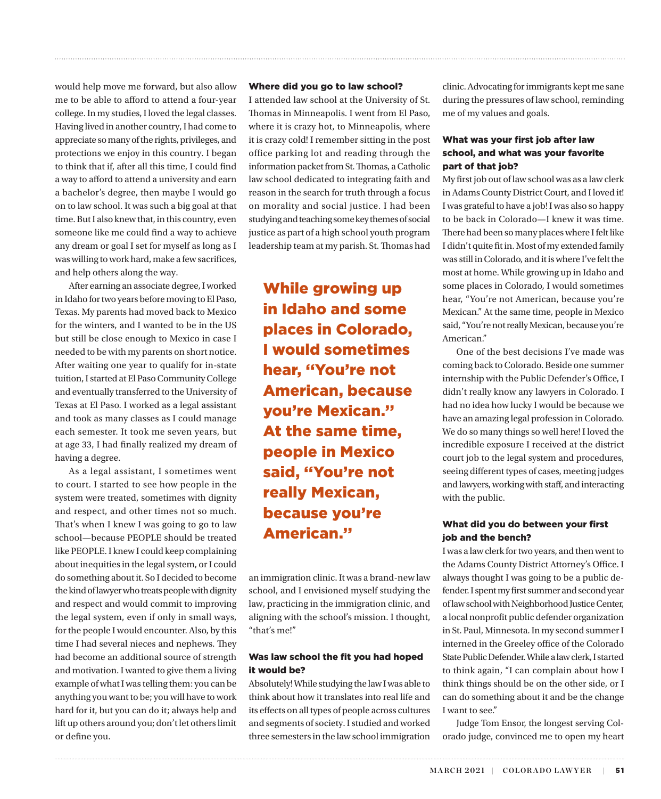would help move me forward, but also allow me to be able to afford to attend a four-year college. In my studies, I loved the legal classes. Having lived in another country, I had come to appreciate so many of the rights, privileges, and protections we enjoy in this country. I began to think that if, after all this time, I could find a way to afford to attend a university and earn a bachelor's degree, then maybe I would go on to law school. It was such a big goal at that time. But I also knew that, in this country, even someone like me could find a way to achieve any dream or goal I set for myself as long as I was willing to work hard, make a few sacrifices, and help others along the way.

After earning an associate degree, I worked in Idaho for two years before moving to El Paso, Texas. My parents had moved back to Mexico for the winters, and I wanted to be in the US but still be close enough to Mexico in case I needed to be with my parents on short notice. After waiting one year to qualify for in-state tuition, I started at El Paso Community College and eventually transferred to the University of Texas at El Paso. I worked as a legal assistant and took as many classes as I could manage each semester. It took me seven years, but at age 33, I had finally realized my dream of having a degree.

As a legal assistant, I sometimes went to court. I started to see how people in the system were treated, sometimes with dignity and respect, and other times not so much. That's when I knew I was going to go to law school—because PEOPLE should be treated like PEOPLE. I knew I could keep complaining about inequities in the legal system, or I could do something about it. So I decided to become the kind of lawyer who treats people with dignity and respect and would commit to improving the legal system, even if only in small ways, for the people I would encounter. Also, by this time I had several nieces and nephews. They had become an additional source of strength and motivation. I wanted to give them a living example of what I was telling them: you can be anything you want to be; you will have to work hard for it, but you can do it; always help and lift up others around you; don't let others limit or define you.

#### Where did you go to law school?

I attended law school at the University of St. Thomas in Minneapolis. I went from El Paso, where it is crazy hot, to Minneapolis, where it is crazy cold! I remember sitting in the post office parking lot and reading through the information packet from St. Thomas, a Catholic law school dedicated to integrating faith and reason in the search for truth through a focus on morality and social justice. I had been studying and teaching some key themes of social justice as part of a high school youth program leadership team at my parish. St. Thomas had

While growing up in Idaho and some places in Colorado, I would sometimes hear, ''You're not American, because you're Mexican.'' At the same time, people in Mexico said, ''You're not really Mexican, because you're American.''

an immigration clinic. It was a brand-new law school, and I envisioned myself studying the law, practicing in the immigration clinic, and aligning with the school's mission. I thought, "that's me!"

## Was law school the fit you had hoped it would be?

Absolutely! While studying the law I was able to think about how it translates into real life and its effects on all types of people across cultures and segments of society. I studied and worked three semesters in the law school immigration clinic. Advocating for immigrants kept me sane during the pressures of law school, reminding me of my values and goals.

# What was your first job after law school, and what was your favorite part of that job?

My first job out of law school was as a law clerk in Adams County District Court, and I loved it! I was grateful to have a job! I was also so happy to be back in Colorado—I knew it was time. There had been so many places where I felt like I didn't quite fit in. Most of my extended family was still in Colorado, and it is where I've felt the most at home. While growing up in Idaho and some places in Colorado, I would sometimes hear, "You're not American, because you're Mexican." At the same time, people in Mexico said, "You're not really Mexican, because you're American."

One of the best decisions I've made was coming back to Colorado. Beside one summer internship with the Public Defender's Office, I didn't really know any lawyers in Colorado. I had no idea how lucky I would be because we have an amazing legal profession in Colorado. We do so many things so well here! I loved the incredible exposure I received at the district court job to the legal system and procedures, seeing different types of cases, meeting judges and lawyers, working with staff, and interacting with the public.

# What did you do between your first job and the bench?

I was a law clerk for two years, and then went to the Adams County District Attorney's Office. I always thought I was going to be a public defender. I spent my first summer and second year of law school with Neighborhood Justice Center, a local nonprofit public defender organization in St. Paul, Minnesota. In my second summer I interned in the Greeley office of the Colorado State Public Defender. While a law clerk, I started to think again, "I can complain about how I think things should be on the other side, or I can do something about it and be the change I want to see."

Judge Tom Ensor, the longest serving Colorado judge, convinced me to open my heart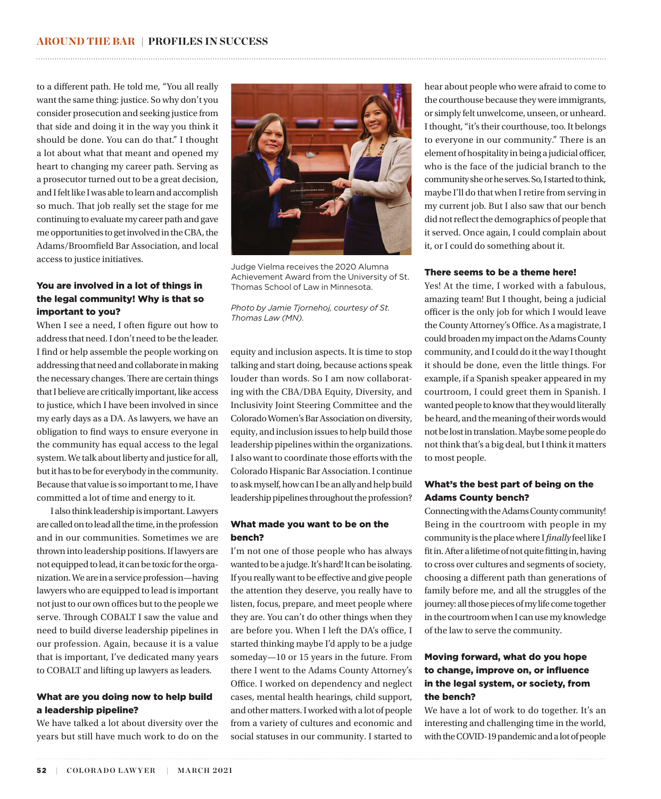to a different path. He told me, "You all really want the same thing: justice. So why don't you consider prosecution and seeking justice from that side and doing it in the way you think it should be done. You can do that." I thought a lot about what that meant and opened my heart to changing my career path. Serving as a prosecutor turned out to be a great decision, and I felt like I was able to learn and accomplish so much. That job really set the stage for me continuing to evaluate my career path and gave me opportunities to get involved in the CBA, the Adams/Broomfield Bar Association, and local access to justice initiatives.

# You are involved in a lot of things in the legal community! Why is that so important to you?

When I see a need, I often figure out how to address that need. I don't need to be the leader. I find or help assemble the people working on addressing that need and collaborate in making the necessary changes. There are certain things that I believe are critically important, like access to justice, which I have been involved in since my early days as a DA. As lawyers, we have an obligation to find ways to ensure everyone in the community has equal access to the legal system. We talk about liberty and justice for all, but it has to be for everybody in the community. Because that value is so important to me, I have committed a lot of time and energy to it.

I also think leadership is important. Lawyers are called on to lead all the time, in the profession and in our communities. Sometimes we are thrown into leadership positions. If lawyers are not equipped to lead, it can be toxic for the organization. We are in a service profession—having lawyers who are equipped to lead is important not just to our own offices but to the people we serve. Through COBALT I saw the value and need to build diverse leadership pipelines in our profession. Again, because it is a value that is important, I've dedicated many years to COBALT and lifting up lawyers as leaders.

## What are you doing now to help build a leadership pipeline?

We have talked a lot about diversity over the years but still have much work to do on the



Judge Vielma receives the 2020 Alumna Achievement Award from the University of St. Thomas School of Law in Minnesota.

*Photo by Jamie Tjornehoj, courtesy of St. Thomas Law (MN).*

equity and inclusion aspects. It is time to stop talking and start doing, because actions speak louder than words. So I am now collaborating with the CBA/DBA Equity, Diversity, and Inclusivity Joint Steering Committee and the Colorado Women's Bar Association on diversity, equity, and inclusion issues to help build those leadership pipelines within the organizations. I also want to coordinate those efforts with the Colorado Hispanic Bar Association. I continue to ask myself, how can I be an ally and help build leadership pipelines throughout the profession?

### What made you want to be on the bench?

I'm not one of those people who has always wanted to be a judge. It's hard! It can be isolating. If you really want to be effective and give people the attention they deserve, you really have to listen, focus, prepare, and meet people where they are. You can't do other things when they are before you. When I left the DA's office, I started thinking maybe I'd apply to be a judge someday—10 or 15 years in the future. From there I went to the Adams County Attorney's Office. I worked on dependency and neglect cases, mental health hearings, child support, and other matters. I worked with a lot of people from a variety of cultures and economic and social statuses in our community. I started to hear about people who were afraid to come to the courthouse because they were immigrants, or simply felt unwelcome, unseen, or unheard. I thought, "it's their courthouse, too. It belongs to everyone in our community." There is an element of hospitality in being a judicial officer, who is the face of the judicial branch to the community she or he serves. So, I started to think, maybe I'll do that when I retire from serving in my current job. But I also saw that our bench did not reflect the demographics of people that it served. Once again, I could complain about it, or I could do something about it.

#### There seems to be a theme here!

Yes! At the time, I worked with a fabulous, amazing team! But I thought, being a judicial officer is the only job for which I would leave the County Attorney's Office. As a magistrate, I could broaden my impact on the Adams County community, and I could do it the way I thought it should be done, even the little things. For example, if a Spanish speaker appeared in my courtroom, I could greet them in Spanish. I wanted people to know that they would literally be heard, and the meaning of their words would not be lost in translation. Maybe some people do not think that's a big deal, but I think it matters to most people.

#### What's the best part of being on the Adams County bench?

Connecting with the Adams County community! Being in the courtroom with people in my community is the place where I *finally* feel like I fit in. After a lifetime of not quite fitting in, having to cross over cultures and segments of society, choosing a different path than generations of family before me, and all the struggles of the journey: all those pieces of my life come together in the courtroom when I can use my knowledge of the law to serve the community.

# Moving forward, what do you hope to change, improve on, or influence in the legal system, or society, from the bench?

We have a lot of work to do together. It's an interesting and challenging time in the world, with the COVID-19 pandemic and a lot of people